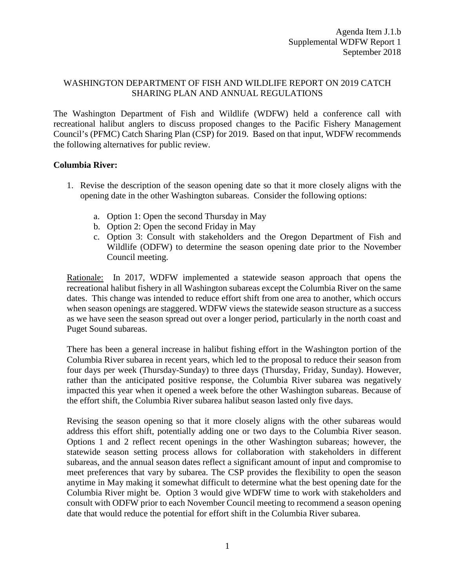## WASHINGTON DEPARTMENT OF FISH AND WILDLIFE REPORT ON 2019 CATCH SHARING PLAN AND ANNUAL REGULATIONS

The Washington Department of Fish and Wildlife (WDFW) held a conference call with recreational halibut anglers to discuss proposed changes to the Pacific Fishery Management Council's (PFMC) Catch Sharing Plan (CSP) for 2019. Based on that input, WDFW recommends the following alternatives for public review.

## **Columbia River:**

- 1. Revise the description of the season opening date so that it more closely aligns with the opening date in the other Washington subareas. Consider the following options:
	- a. Option 1: Open the second Thursday in May
	- b. Option 2: Open the second Friday in May
	- c. Option 3: Consult with stakeholders and the Oregon Department of Fish and Wildlife (ODFW) to determine the season opening date prior to the November Council meeting.

Rationale: In 2017, WDFW implemented a statewide season approach that opens the recreational halibut fishery in all Washington subareas except the Columbia River on the same dates. This change was intended to reduce effort shift from one area to another, which occurs when season openings are staggered. WDFW views the statewide season structure as a success as we have seen the season spread out over a longer period, particularly in the north coast and Puget Sound subareas.

There has been a general increase in halibut fishing effort in the Washington portion of the Columbia River subarea in recent years, which led to the proposal to reduce their season from four days per week (Thursday-Sunday) to three days (Thursday, Friday, Sunday). However, rather than the anticipated positive response, the Columbia River subarea was negatively impacted this year when it opened a week before the other Washington subareas. Because of the effort shift, the Columbia River subarea halibut season lasted only five days.

Revising the season opening so that it more closely aligns with the other subareas would address this effort shift, potentially adding one or two days to the Columbia River season. Options 1 and 2 reflect recent openings in the other Washington subareas; however, the statewide season setting process allows for collaboration with stakeholders in different subareas, and the annual season dates reflect a significant amount of input and compromise to meet preferences that vary by subarea. The CSP provides the flexibility to open the season anytime in May making it somewhat difficult to determine what the best opening date for the Columbia River might be. Option 3 would give WDFW time to work with stakeholders and consult with ODFW prior to each November Council meeting to recommend a season opening date that would reduce the potential for effort shift in the Columbia River subarea.